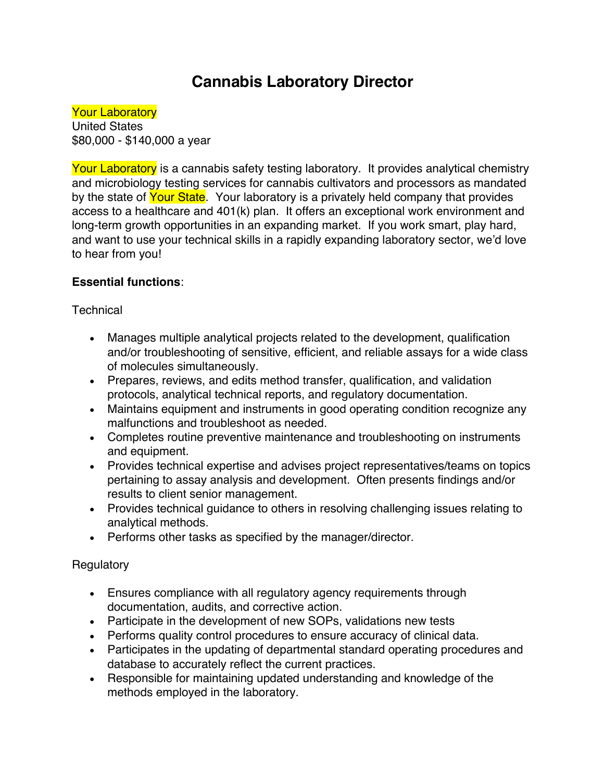# **Cannabis Laboratory Director**

**Your Laboratory** United States \$80,000 - \$140,000 a year

Your Laboratory is a cannabis safety testing laboratory. It provides analytical chemistry and microbiology testing services for cannabis cultivators and processors as mandated by the state of Your State. Your laboratory is a privately held company that provides access to a healthcare and 401(k) plan. It offers an exceptional work environment and long-term growth opportunities in an expanding market. If you work smart, play hard, and want to use your technical skills in a rapidly expanding laboratory sector, we'd love to hear from you!

## **Essential functions**:

### **Technical**

- Manages multiple analytical projects related to the development, qualification and/or troubleshooting of sensitive, efficient, and reliable assays for a wide class of molecules simultaneously.
- Prepares, reviews, and edits method transfer, qualification, and validation protocols, analytical technical reports, and regulatory documentation.
- Maintains equipment and instruments in good operating condition recognize any malfunctions and troubleshoot as needed.
- Completes routine preventive maintenance and troubleshooting on instruments and equipment.
- Provides technical expertise and advises project representatives/teams on topics pertaining to assay analysis and development. Often presents findings and/or results to client senior management.
- Provides technical guidance to others in resolving challenging issues relating to analytical methods.
- Performs other tasks as specified by the manager/director.

## **Regulatory**

- Ensures compliance with all regulatory agency requirements through documentation, audits, and corrective action.
- Participate in the development of new SOPs, validations new tests
- Performs quality control procedures to ensure accuracy of clinical data.
- Participates in the updating of departmental standard operating procedures and database to accurately reflect the current practices.
- Responsible for maintaining updated understanding and knowledge of the methods employed in the laboratory.